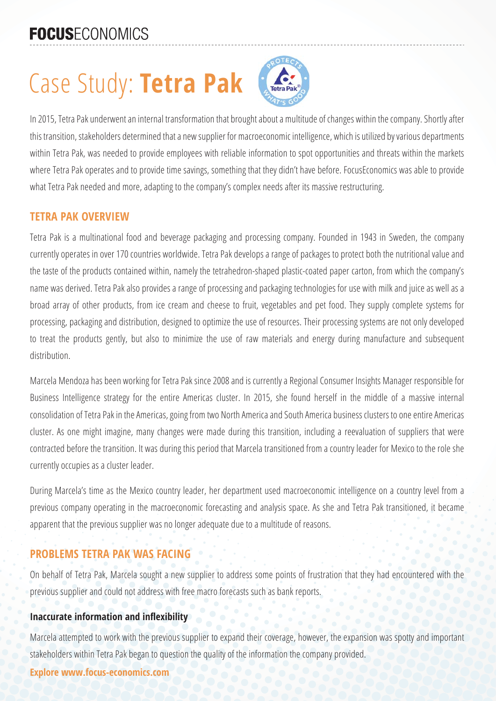# **FOCUSECONOMICS**

# Case Study: **Tetra Pak**



In 2015, Tetra Pak underwent an internal transformation that brought about a multitude of changes within the company. Shortly after this transition, stakeholders determined that a new supplier for macroeconomic intelligence, which is utilized by various departments within Tetra Pak, was needed to provide employees with reliable information to spot opportunities and threats within the markets where Tetra Pak operates and to provide time savings, something that they didn't have before. FocusEconomics was able to provide what Tetra Pak needed and more, adapting to the company's complex needs after its massive restructuring.

#### **TETRA PAK OVERVIEW**

Tetra Pak is a multinational food and beverage packaging and processing company. Founded in 1943 in Sweden, the company currently operates in over 170 countries worldwide. Tetra Pak develops a range of packages to protect both the nutritional value and the taste of the products contained within, namely the tetrahedron-shaped plastic-coated paper carton, from which the company's name was derived. Tetra Pak also provides a range of processing and packaging technologies for use with milk and juice as well as a broad array of other products, from ice cream and cheese to fruit, vegetables and pet food. They supply complete systems for processing, packaging and distribution, designed to optimize the use of resources. Their processing systems are not only developed to treat the products gently, but also to minimize the use of raw materials and energy during manufacture and subsequent distribution.

Marcela Mendoza has been working for Tetra Pak since 2008 and is currently a Regional Consumer Insights Manager responsible for Business Intelligence strategy for the entire Americas cluster. In 2015, she found herself in the middle of a massive internal consolidation of Tetra Pak in the Americas, going from two North America and South America business clusters to one entire Americas cluster. As one might imagine, many changes were made during this transition, including a reevaluation of suppliers that were contracted before the transition. It was during this period that Marcela transitioned from a country leader for Mexico to the role she currently occupies as a cluster leader.

During Marcela's time as the Mexico country leader, her department used macroeconomic intelligence on a country level from a previous company operating in the macroeconomic forecasting and analysis space. As she and Tetra Pak transitioned, it became apparent that the previous supplier was no longer adequate due to a multitude of reasons.

## **PROBLEMS TETRA PAK WAS FACING**

On behalf of Tetra Pak, Marcela sought a new supplier to address some points of frustration that they had encountered with the previous supplier and could not address with free macro forecasts such as bank reports.

#### **Inaccurate information and inflexibility**

Marcela attempted to work with the previous supplier to expand their coverage, however, the expansion was spotty and important stakeholders within Tetra Pak began to question the quality of the information the company provided.

#### **Explore www.focus-economics.com**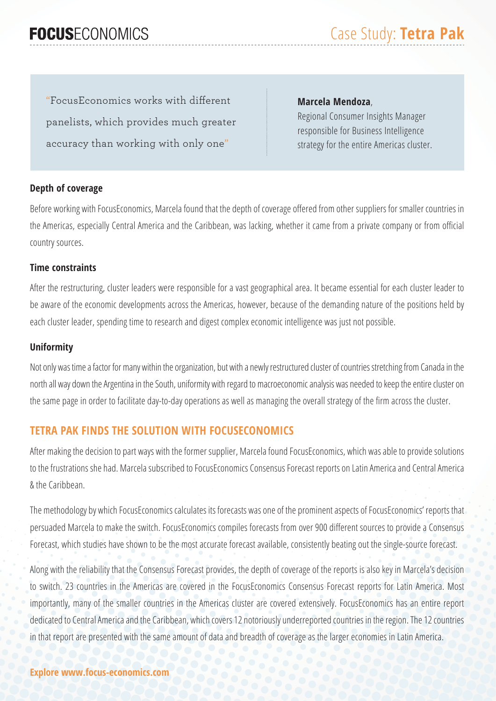## **FOCUSECONOMICS**

"FocusEconomics works with different panelists, which provides much greater accuracy than working with only one"

#### **Marcela Mendoza**,

Regional Consumer Insights Manager responsible for Business Intelligence strategy for the entire Americas cluster.

#### **Depth of coverage**

Before working with FocusEconomics, Marcela found that the depth of coverage offered from other suppliers for smaller countries in the Americas, especially Central America and the Caribbean, was lacking, whether it came from a private company or from official country sources.

#### **Time constraints**

After the restructuring, cluster leaders were responsible for a vast geographical area. It became essential for each cluster leader to be aware of the economic developments across the Americas, however, because of the demanding nature of the positions held by each cluster leader, spending time to research and digest complex economic intelligence was just not possible.

#### **Uniformity**

Not only was time a factor for many within the organization, but with a newly restructured cluster of countries stretching from Canada in the north all way down the Argentina in the South, uniformity with regard to macroeconomic analysis was needed to keep the entire cluster on the same page in order to facilitate day-to-day operations as well as managing the overall strategy of the firm across the cluster.

#### **TETRA PAK FINDS THE SOLUTION WITH FOCUSECONOMICS**

After making the decision to part ways with the former supplier, Marcela found FocusEconomics, which was able to provide solutions to the frustrations she had. Marcela subscribed to FocusEconomics Consensus Forecast reports on Latin America and Central America & the Caribbean.

The methodology by which FocusEconomics calculates its forecasts was one of the prominent aspects of FocusEconomics' reports that persuaded Marcela to make the switch. FocusEconomics compiles forecasts from over 900 different sources to provide a Consensus Forecast, which studies have shown to be the most accurate forecast available, consistently beating out the single-source forecast.

Along with the reliability that the Consensus Forecast provides, the depth of coverage of the reports is also key in Marcela's decision to switch. 23 countries in the Americas are covered in the FocusEconomics Consensus Forecast reports for Latin America. Most importantly, many of the smaller countries in the Americas cluster are covered extensively. FocusEconomics has an entire report dedicated to Central America and the Caribbean, which covers 12 notoriously underreported countries in the region. The 12 countries in that report are presented with the same amount of data and breadth of coverage as the larger economies in Latin America.